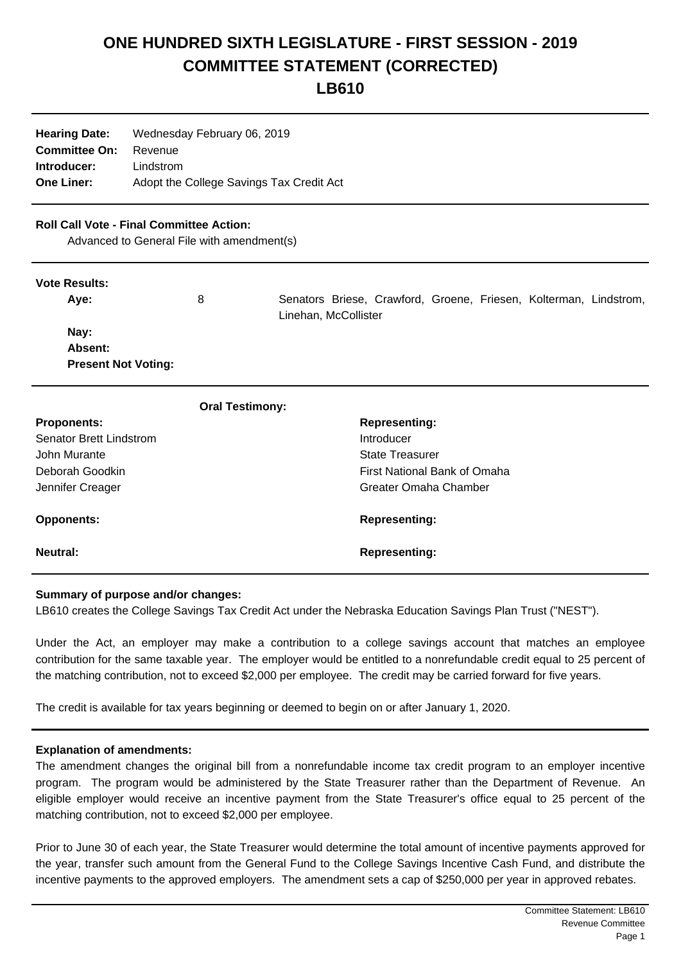# **ONE HUNDRED SIXTH LEGISLATURE - FIRST SESSION - 2019 COMMITTEE STATEMENT (CORRECTED)**

**LB610**

| <b>Hearing Date:</b> | Wednesday February 06, 2019              |  |  |
|----------------------|------------------------------------------|--|--|
| <b>Committee On:</b> | Revenue                                  |  |  |
| Introducer:          | Lindstrom                                |  |  |
| <b>One Liner:</b>    | Adopt the College Savings Tax Credit Act |  |  |

## **Roll Call Vote - Final Committee Action:**

Advanced to General File with amendment(s)

### **Vote Results:**

| Ave:                       | 8 | Senators Briese, Crawford, Groene, Friesen, Kolterman, Lindstrom, |
|----------------------------|---|-------------------------------------------------------------------|
|                            |   | Linehan, McCollister                                              |
| Nay:                       |   |                                                                   |
| Absent:                    |   |                                                                   |
| <b>Present Not Voting:</b> |   |                                                                   |
|                            |   |                                                                   |

|                                | <b>Oral Testimony:</b> |                              |
|--------------------------------|------------------------|------------------------------|
| <b>Proponents:</b>             |                        | <b>Representing:</b>         |
| <b>Senator Brett Lindstrom</b> |                        | Introducer                   |
| John Murante                   |                        | <b>State Treasurer</b>       |
| Deborah Goodkin                |                        | First National Bank of Omaha |
| Jennifer Creager               |                        | Greater Omaha Chamber        |
| <b>Opponents:</b>              |                        | <b>Representing:</b>         |
| Neutral:                       |                        | <b>Representing:</b>         |

### **Summary of purpose and/or changes:**

LB610 creates the College Savings Tax Credit Act under the Nebraska Education Savings Plan Trust ("NEST").

Under the Act, an employer may make a contribution to a college savings account that matches an employee contribution for the same taxable year. The employer would be entitled to a nonrefundable credit equal to 25 percent of the matching contribution, not to exceed \$2,000 per employee. The credit may be carried forward for five years.

The credit is available for tax years beginning or deemed to begin on or after January 1, 2020.

### **Explanation of amendments:**

The amendment changes the original bill from a nonrefundable income tax credit program to an employer incentive program. The program would be administered by the State Treasurer rather than the Department of Revenue. An eligible employer would receive an incentive payment from the State Treasurer's office equal to 25 percent of the matching contribution, not to exceed \$2,000 per employee.

Prior to June 30 of each year, the State Treasurer would determine the total amount of incentive payments approved for the year, transfer such amount from the General Fund to the College Savings Incentive Cash Fund, and distribute the incentive payments to the approved employers. The amendment sets a cap of \$250,000 per year in approved rebates.